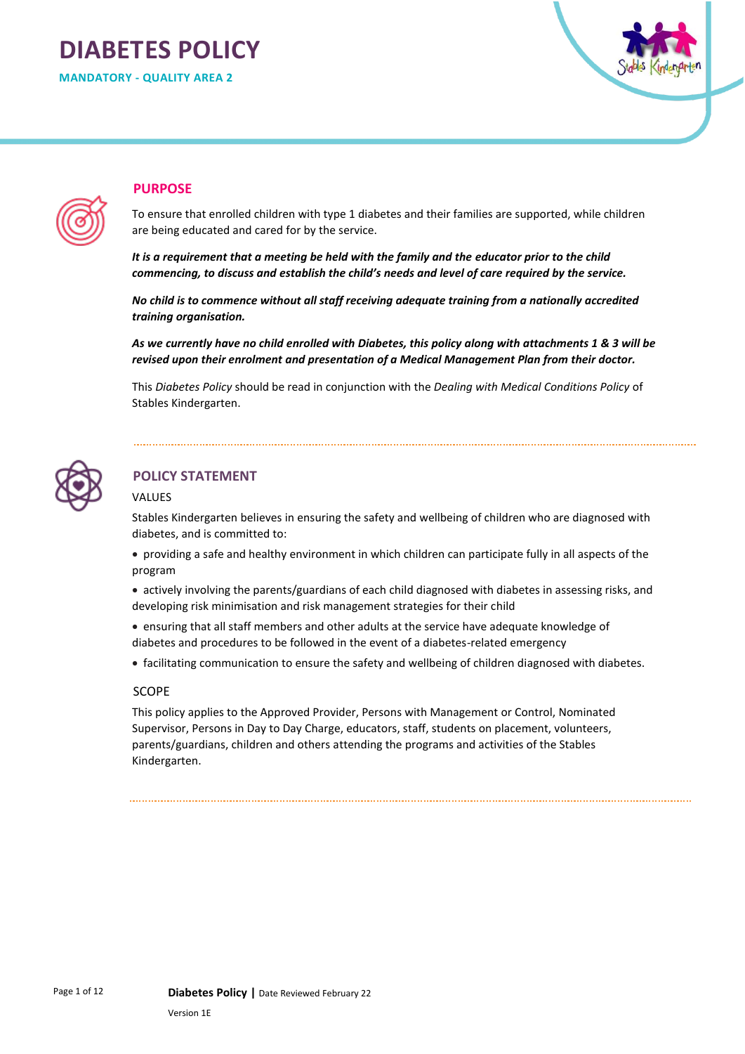# **DIABETES POLICY**

**MANDATORY - QUALITY AREA 2** 



## **PURPOSE**

To ensure that enrolled children with type 1 diabetes and their families are supported, while children are being educated and cared for by the service.

*It is a requirement that a meeting be held with the family and the educator prior to the child commencing, to discuss and establish the child's needs and level of care required by the service.*

*No child is to commence without all staff receiving adequate training from a nationally accredited training organisation.*

*As we currently have no child enrolled with Diabetes, this policy along with attachments 1 & 3 will be revised upon their enrolment and presentation of a Medical Management Plan from their doctor.*

This *Diabetes Policy* should be read in conjunction with the *Dealing with Medical Conditions Policy* of Stables Kindergarten.



# **POLICY STATEMENT**

#### VALUES

Stables Kindergarten believes in ensuring the safety and wellbeing of children who are diagnosed with diabetes, and is committed to:

• providing a safe and healthy environment in which children can participate fully in all aspects of the program

- actively involving the parents/guardians of each child diagnosed with diabetes in assessing risks, and developing risk minimisation and risk management strategies for their child
- ensuring that all staff members and other adults at the service have adequate knowledge of diabetes and procedures to be followed in the event of a diabetes-related emergency
- facilitating communication to ensure the safety and wellbeing of children diagnosed with diabetes.

#### SCOPE

This policy applies to the Approved Provider, Persons with Management or Control, Nominated Supervisor, Persons in Day to Day Charge, educators, staff, students on placement, volunteers, parents/guardians, children and others attending the programs and activities of the Stables Kindergarten.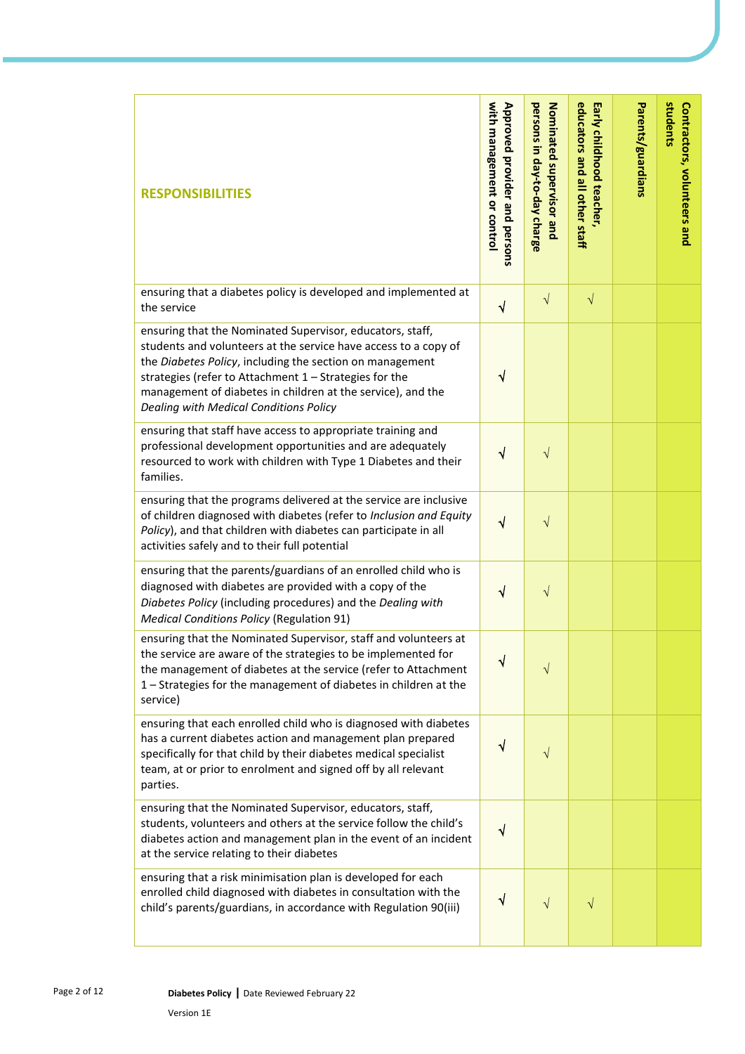| <b>RESPONSIBILITIES</b>                                                                                                                                                                                                                                                                                                                                     | with management or contro<br>Approved provider and persons | persons in day-to-day charge<br>Nominated supervisor and | educators and all other staff<br>Early childhood teacher, | Parents/guardians | students<br>Contractors, volunteers and |
|-------------------------------------------------------------------------------------------------------------------------------------------------------------------------------------------------------------------------------------------------------------------------------------------------------------------------------------------------------------|------------------------------------------------------------|----------------------------------------------------------|-----------------------------------------------------------|-------------------|-----------------------------------------|
| ensuring that a diabetes policy is developed and implemented at<br>the service                                                                                                                                                                                                                                                                              | $\sqrt{}$                                                  | $\sqrt{}$                                                | $\sqrt{}$                                                 |                   |                                         |
| ensuring that the Nominated Supervisor, educators, staff,<br>students and volunteers at the service have access to a copy of<br>the Diabetes Policy, including the section on management<br>strategies (refer to Attachment 1 - Strategies for the<br>management of diabetes in children at the service), and the<br>Dealing with Medical Conditions Policy | $\checkmark$                                               |                                                          |                                                           |                   |                                         |
| ensuring that staff have access to appropriate training and<br>professional development opportunities and are adequately<br>resourced to work with children with Type 1 Diabetes and their<br>families.                                                                                                                                                     | √                                                          | $\sqrt{}$                                                |                                                           |                   |                                         |
| ensuring that the programs delivered at the service are inclusive<br>of children diagnosed with diabetes (refer to Inclusion and Equity<br>Policy), and that children with diabetes can participate in all<br>activities safely and to their full potential                                                                                                 | $\sqrt{}$                                                  | $\sqrt{}$                                                |                                                           |                   |                                         |
| ensuring that the parents/guardians of an enrolled child who is<br>diagnosed with diabetes are provided with a copy of the<br>Diabetes Policy (including procedures) and the Dealing with<br><b>Medical Conditions Policy (Regulation 91)</b>                                                                                                               | √                                                          | $\sqrt{}$                                                |                                                           |                   |                                         |
| ensuring that the Nominated Supervisor, staff and volunteers at<br>the service are aware of the strategies to be implemented for<br>the management of diabetes at the service (refer to Attachment<br>1 - Strategies for the management of diabetes in children at the<br>service)                                                                          | $\sqrt{}$                                                  | $\sqrt{}$                                                |                                                           |                   |                                         |
| ensuring that each enrolled child who is diagnosed with diabetes<br>has a current diabetes action and management plan prepared<br>specifically for that child by their diabetes medical specialist<br>team, at or prior to enrolment and signed off by all relevant<br>parties.                                                                             | ٦                                                          | V                                                        |                                                           |                   |                                         |
| ensuring that the Nominated Supervisor, educators, staff,<br>students, volunteers and others at the service follow the child's<br>diabetes action and management plan in the event of an incident<br>at the service relating to their diabetes                                                                                                              | $\checkmark$                                               |                                                          |                                                           |                   |                                         |
| ensuring that a risk minimisation plan is developed for each<br>enrolled child diagnosed with diabetes in consultation with the<br>child's parents/guardians, in accordance with Regulation 90(iii)                                                                                                                                                         | ٦                                                          | $\sqrt{}$                                                |                                                           |                   |                                         |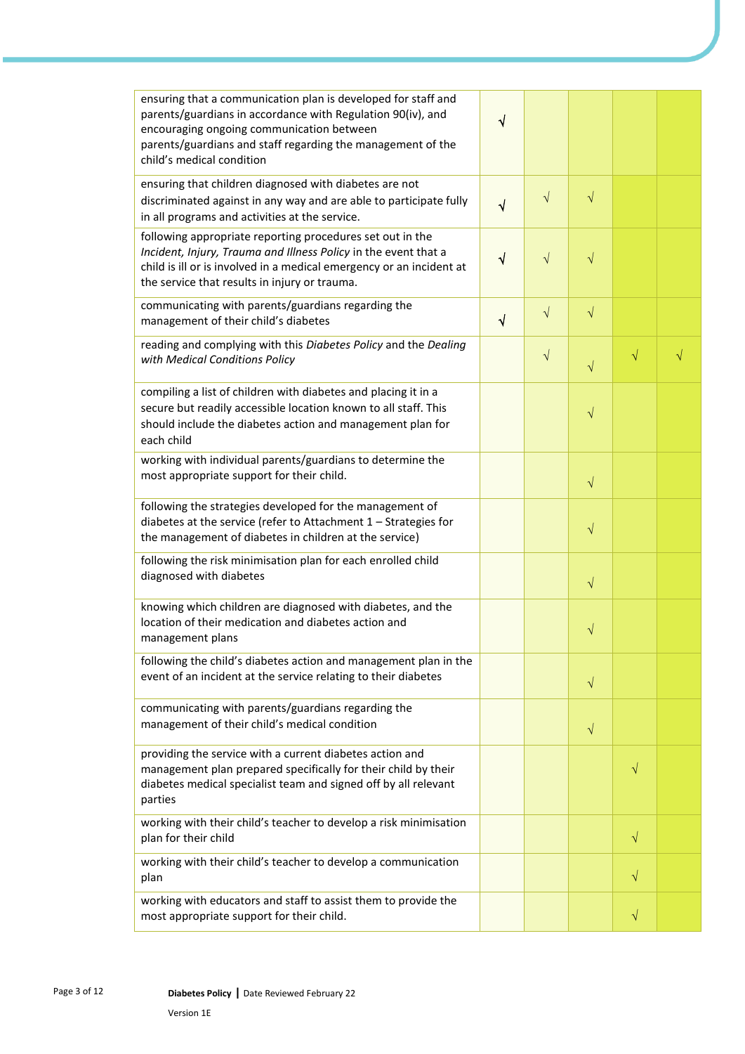| ensuring that a communication plan is developed for staff and<br>parents/guardians in accordance with Regulation 90(iv), and<br>encouraging ongoing communication between<br>parents/guardians and staff regarding the management of the<br>child's medical condition | V         |           |           |           |   |
|-----------------------------------------------------------------------------------------------------------------------------------------------------------------------------------------------------------------------------------------------------------------------|-----------|-----------|-----------|-----------|---|
| ensuring that children diagnosed with diabetes are not<br>discriminated against in any way and are able to participate fully<br>in all programs and activities at the service.                                                                                        | $\sqrt{}$ | $\sqrt{}$ | $\sqrt{}$ |           |   |
| following appropriate reporting procedures set out in the<br>Incident, Injury, Trauma and Illness Policy in the event that a<br>child is ill or is involved in a medical emergency or an incident at<br>the service that results in injury or trauma.                 | $\sqrt{}$ | $\sqrt{}$ | $\sqrt{}$ |           |   |
| communicating with parents/guardians regarding the<br>management of their child's diabetes                                                                                                                                                                            | $\sqrt{}$ | $\sqrt{}$ | $\sqrt{}$ |           |   |
| reading and complying with this Diabetes Policy and the Dealing<br>with Medical Conditions Policy                                                                                                                                                                     |           | $\sqrt{}$ | $\sqrt{}$ | $\sqrt{}$ | √ |
| compiling a list of children with diabetes and placing it in a<br>secure but readily accessible location known to all staff. This<br>should include the diabetes action and management plan for<br>each child                                                         |           |           | $\sqrt{}$ |           |   |
| working with individual parents/guardians to determine the<br>most appropriate support for their child.                                                                                                                                                               |           |           | $\sqrt{}$ |           |   |
| following the strategies developed for the management of<br>diabetes at the service (refer to Attachment 1 - Strategies for<br>the management of diabetes in children at the service)                                                                                 |           |           | $\sqrt{}$ |           |   |
| following the risk minimisation plan for each enrolled child<br>diagnosed with diabetes                                                                                                                                                                               |           |           | $\sqrt{}$ |           |   |
| knowing which children are diagnosed with diabetes, and the<br>location of their medication and diabetes action and<br>management plans                                                                                                                               |           |           | V         |           |   |
| following the child's diabetes action and management plan in the<br>event of an incident at the service relating to their diabetes                                                                                                                                    |           |           | $\sqrt{}$ |           |   |
| communicating with parents/guardians regarding the<br>management of their child's medical condition                                                                                                                                                                   |           |           | $\sqrt{}$ |           |   |
| providing the service with a current diabetes action and<br>management plan prepared specifically for their child by their<br>diabetes medical specialist team and signed off by all relevant<br>parties                                                              |           |           |           | $\sqrt{}$ |   |
| working with their child's teacher to develop a risk minimisation<br>plan for their child                                                                                                                                                                             |           |           |           | $\sqrt{}$ |   |
| working with their child's teacher to develop a communication<br>plan                                                                                                                                                                                                 |           |           |           | $\sqrt{}$ |   |
| working with educators and staff to assist them to provide the<br>most appropriate support for their child.                                                                                                                                                           |           |           |           | V         |   |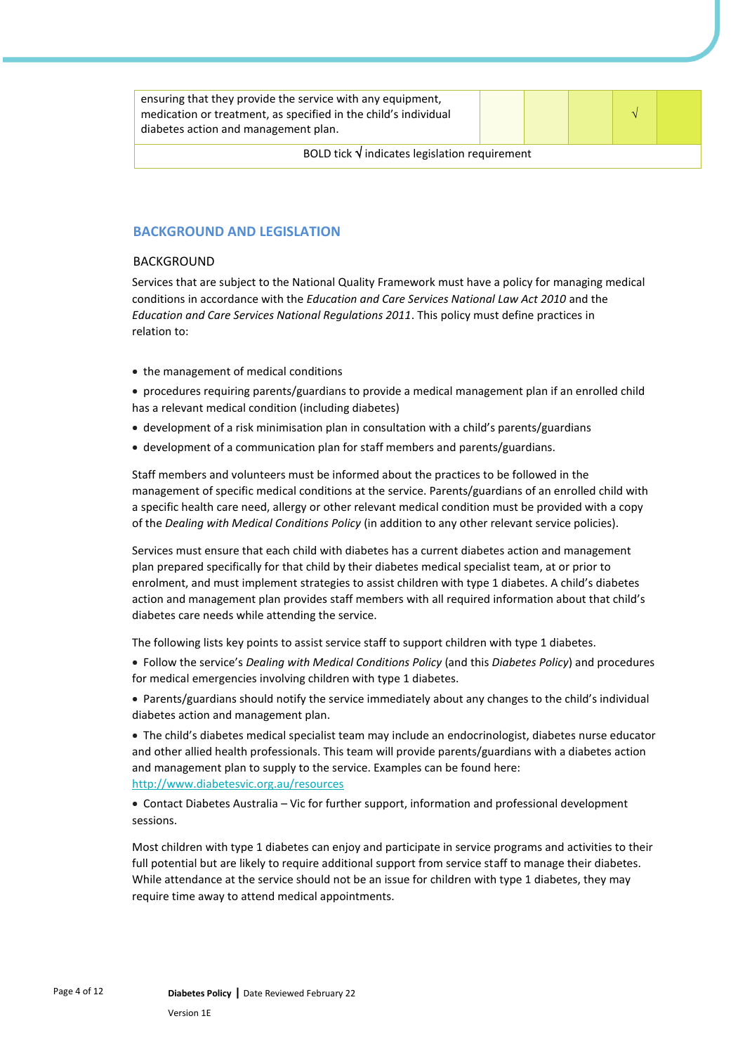| ensuring that they provide the service with any equipment,<br>medication or treatment, as specified in the child's individual<br>diabetes action and management plan. |  |  |  |  |  |
|-----------------------------------------------------------------------------------------------------------------------------------------------------------------------|--|--|--|--|--|
| BOLD tick $\sqrt{}$ indicates legislation requirement                                                                                                                 |  |  |  |  |  |

### **BACKGROUND AND LEGISLATION**

#### BACKGROUND

Services that are subject to the National Quality Framework must have a policy for managing medical conditions in accordance with the *Education and Care Services National Law Act 2010* and the *Education and Care Services National Regulations 2011*. This policy must define practices in relation to:

• the management of medical conditions

• procedures requiring parents/guardians to provide a medical management plan if an enrolled child has a relevant medical condition (including diabetes)

- development of a risk minimisation plan in consultation with a child's parents/guardians
- development of a communication plan for staff members and parents/guardians.

Staff members and volunteers must be informed about the practices to be followed in the management of specific medical conditions at the service. Parents/guardians of an enrolled child with a specific health care need, allergy or other relevant medical condition must be provided with a copy of the *Dealing with Medical Conditions Policy* (in addition to any other relevant service policies).

Services must ensure that each child with diabetes has a current diabetes action and management plan prepared specifically for that child by their diabetes medical specialist team, at or prior to enrolment, and must implement strategies to assist children with type 1 diabetes. A child's diabetes action and management plan provides staff members with all required information about that child's diabetes care needs while attending the service.

The following lists key points to assist service staff to support children with type 1 diabetes.

• Follow the service's *Dealing with Medical Conditions Policy* (and this *Diabetes Policy*) and procedures for medical emergencies involving children with type 1 diabetes.

• Parents/guardians should notify the service immediately about any changes to the child's individual diabetes action and management plan.

• The child's diabetes medical specialist team may include an endocrinologist, diabetes nurse educator and other allied health professionals. This team will provide parents/guardians with a diabetes action and management plan to supply to the service. Examples can be found here: <http://www.diabetesvic.org.au/resources>

• Contact Diabetes Australia – Vic for further support, information and professional development sessions.

Most children with type 1 diabetes can enjoy and participate in service programs and activities to their full potential but are likely to require additional support from service staff to manage their diabetes. While attendance at the service should not be an issue for children with type 1 diabetes, they may require time away to attend medical appointments.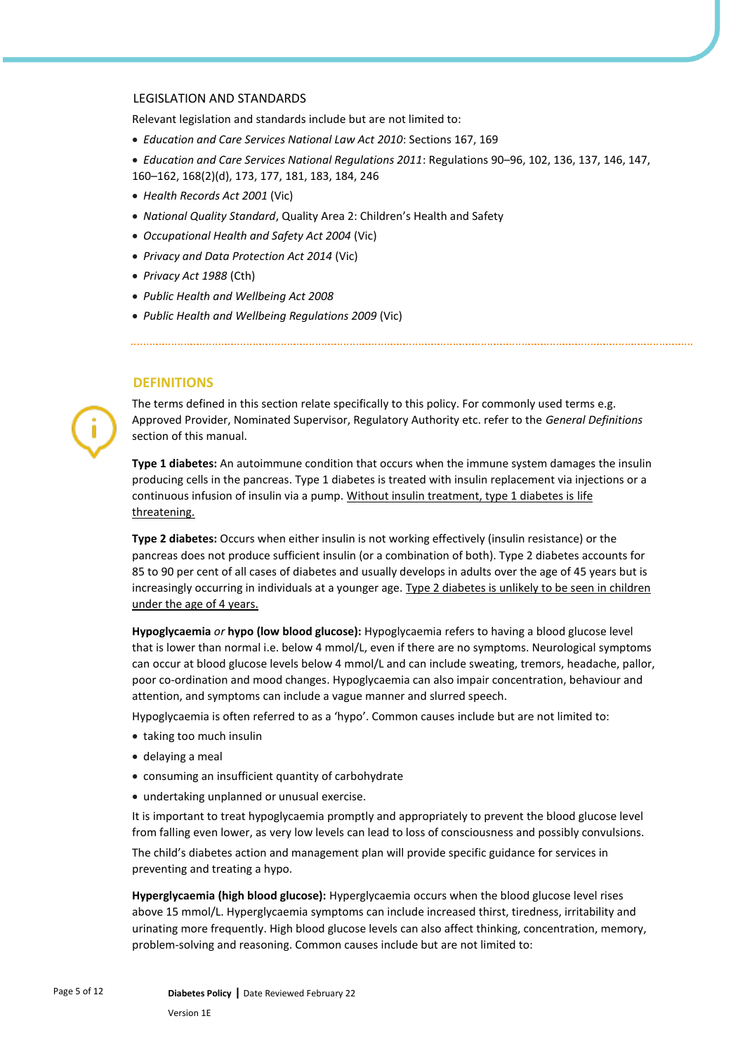#### LEGISLATION AND STANDARDS

Relevant legislation and standards include but are not limited to:

- *Education and Care Services National Law Act 2010*: Sections 167, 169
- *Education and Care Services National Regulations 2011*: Regulations 90–96, 102, 136, 137, 146, 147, 160–162, 168(2)(d), 173, 177, 181, 183, 184, 246
- *Health Records Act 2001* (Vic)
- *National Quality Standard*, Quality Area 2: Children's Health and Safety
- *Occupational Health and Safety Act 2004* (Vic)
- *Privacy and Data Protection Act 2014* (Vic)
- *Privacy Act 1988* (Cth)
- *Public Health and Wellbeing Act 2008*
- *Public Health and Wellbeing Regulations 2009* (Vic)

#### **DEFINITIONS**

The terms defined in this section relate specifically to this policy. For commonly used terms e.g. Approved Provider, Nominated Supervisor, Regulatory Authority etc. refer to the *General Definitions* section of this manual.

**Type 1 diabetes:** An autoimmune condition that occurs when the immune system damages the insulin producing cells in the pancreas. Type 1 diabetes is treated with insulin replacement via injections or a continuous infusion of insulin via a pump. Without insulin treatment, type 1 diabetes is life threatening.

**Type 2 diabetes:** Occurs when either insulin is not working effectively (insulin resistance) or the pancreas does not produce sufficient insulin (or a combination of both). Type 2 diabetes accounts for 85 to 90 per cent of all cases of diabetes and usually develops in adults over the age of 45 years but is increasingly occurring in individuals at a younger age. Type 2 diabetes is unlikely to be seen in children under the age of 4 years.

**Hypoglycaemia** *or* **hypo (low blood glucose):** Hypoglycaemia refers to having a blood glucose level that is lower than normal i.e. below 4 mmol/L, even if there are no symptoms. Neurological symptoms can occur at blood glucose levels below 4 mmol/L and can include sweating, tremors, headache, pallor, poor co-ordination and mood changes. Hypoglycaemia can also impair concentration, behaviour and attention, and symptoms can include a vague manner and slurred speech.

Hypoglycaemia is often referred to as a 'hypo'. Common causes include but are not limited to:

- taking too much insulin
- delaying a meal
- consuming an insufficient quantity of carbohydrate
- undertaking unplanned or unusual exercise.

It is important to treat hypoglycaemia promptly and appropriately to prevent the blood glucose level from falling even lower, as very low levels can lead to loss of consciousness and possibly convulsions. The child's diabetes action and management plan will provide specific guidance for services in preventing and treating a hypo.

**Hyperglycaemia (high blood glucose):** Hyperglycaemia occurs when the blood glucose level rises above 15 mmol/L. Hyperglycaemia symptoms can include increased thirst, tiredness, irritability and urinating more frequently. High blood glucose levels can also affect thinking, concentration, memory, problem-solving and reasoning. Common causes include but are not limited to: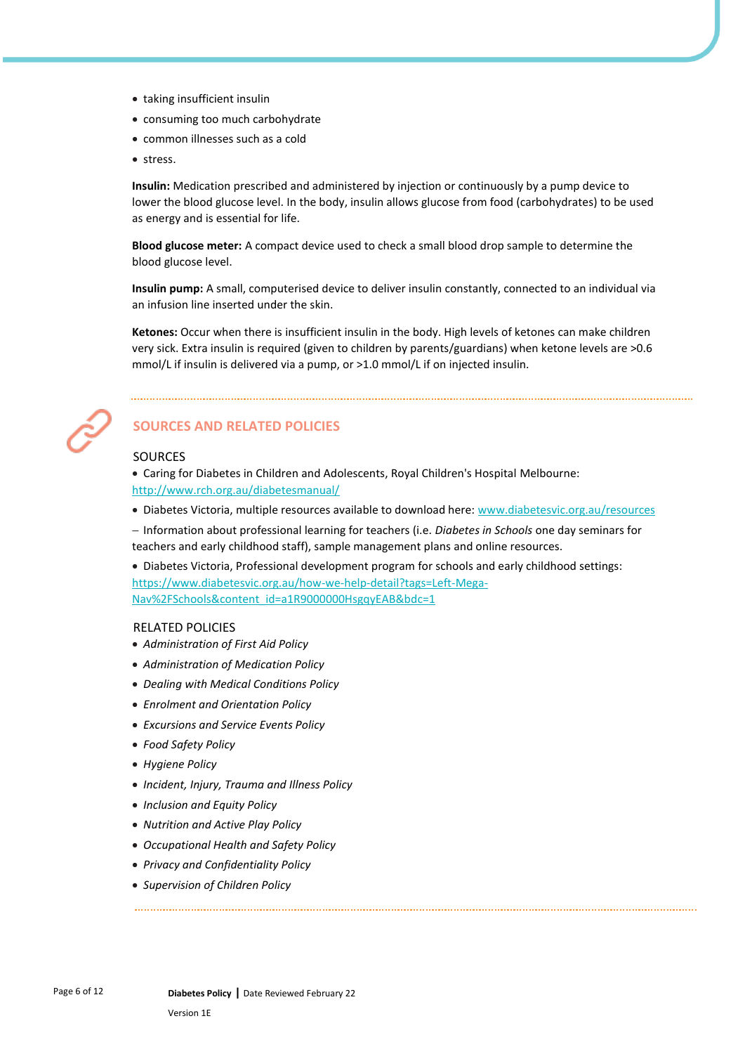- taking insufficient insulin
- consuming too much carbohydrate
- common illnesses such as a cold
- stress.

**Insulin:** Medication prescribed and administered by injection or continuously by a pump device to lower the blood glucose level. In the body, insulin allows glucose from food (carbohydrates) to be used as energy and is essential for life.

**Blood glucose meter:** A compact device used to check a small blood drop sample to determine the blood glucose level.

**Insulin pump:** A small, computerised device to deliver insulin constantly, connected to an individual via an infusion line inserted under the skin.

**Ketones:** Occur when there is insufficient insulin in the body. High levels of ketones can make children very sick. Extra insulin is required (given to children by parents/guardians) when ketone levels are >0.6 mmol/L if insulin is delivered via a pump, or >1.0 mmol/L if on injected insulin.



# **SOURCES AND RELATED POLICIES**

#### SOURCES

• [Caring for Diabetes in Children and Adolescents, Royal Children's Hospital](http://www.rch.org.au/diabetesmanual/index.cfm?doc_id=2352) Melbourne: <http://www.rch.org.au/diabetesmanual/>

• Diabetes Victoria, multiple resources available to download here: [www.diabetesvic.org.au/resources](http://www.diabetesvic.org.au/resources)

− Information about professional learning for teachers (i.e. *Diabetes in Schools* one day seminars for teachers and early childhood staff), sample management plans and online resources.

• Diabetes Victoria, Professional development program for schools and early childhood settings: [https://www.diabetesvic.org.au/how-we-help-detail?tags=Left-Mega-](https://www.diabetesvic.org.au/how-we-help-detail?tags=Left-Mega-Nav%2FSchools&content_id=a1R9000000HsgqyEAB&bdc=1)[Nav%2FSchools&content\\_id=a1R9000000HsgqyEAB&bdc=1](https://www.diabetesvic.org.au/how-we-help-detail?tags=Left-Mega-Nav%2FSchools&content_id=a1R9000000HsgqyEAB&bdc=1)

#### RELATED POLICIES

- *Administration of First Aid Policy*
- *Administration of Medication Policy*
- *Dealing with Medical Conditions Policy*
- *Enrolment and Orientation Policy*
- *Excursions and Service Events Policy*
- *Food Safety Policy*
- *Hygiene Policy*
- *Incident, Injury, Trauma and Illness Policy*
- *Inclusion and Equity Policy*
- *Nutrition and Active Play Policy*
- *Occupational Health and Safety Policy*
- *Privacy and Confidentiality Policy*
- *Supervision of Children Policy*

Version 1E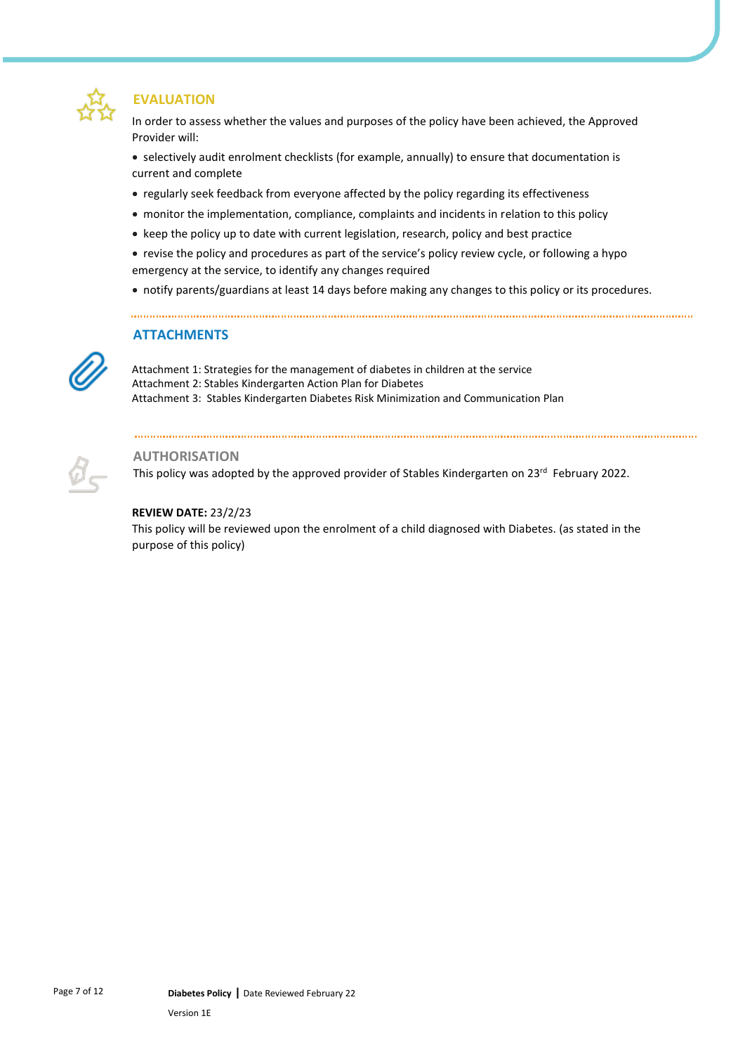

## **EVALUATION**

In order to assess whether the values and purposes of the policy have been achieved, the Approved Provider will:

• selectively audit enrolment checklists (for example, annually) to ensure that documentation is current and complete

- regularly seek feedback from everyone affected by the policy regarding its effectiveness
- monitor the implementation, compliance, complaints and incidents in relation to this policy
- keep the policy up to date with current legislation, research, policy and best practice
- revise the policy and procedures as part of the service's policy review cycle, or following a hypo emergency at the service, to identify any changes required
- notify parents/guardians at least 14 days before making any changes to this policy or its procedures.

## **ATTACHMENTS**

Attachment 1: Strategies for the management of diabetes in children at the service Attachment 2: Stables Kindergarten Action Plan for Diabetes Attachment 3: Stables Kindergarten Diabetes Risk Minimization and Communication Plan

## **AUTHORISATION**

This policy was adopted by the approved provider of Stables Kindergarten on 23<sup>rd</sup> February 2022.

#### **REVIEW DATE:** 23/2/23

This policy will be reviewed upon the enrolment of a child diagnosed with Diabetes. (as stated in the purpose of this policy)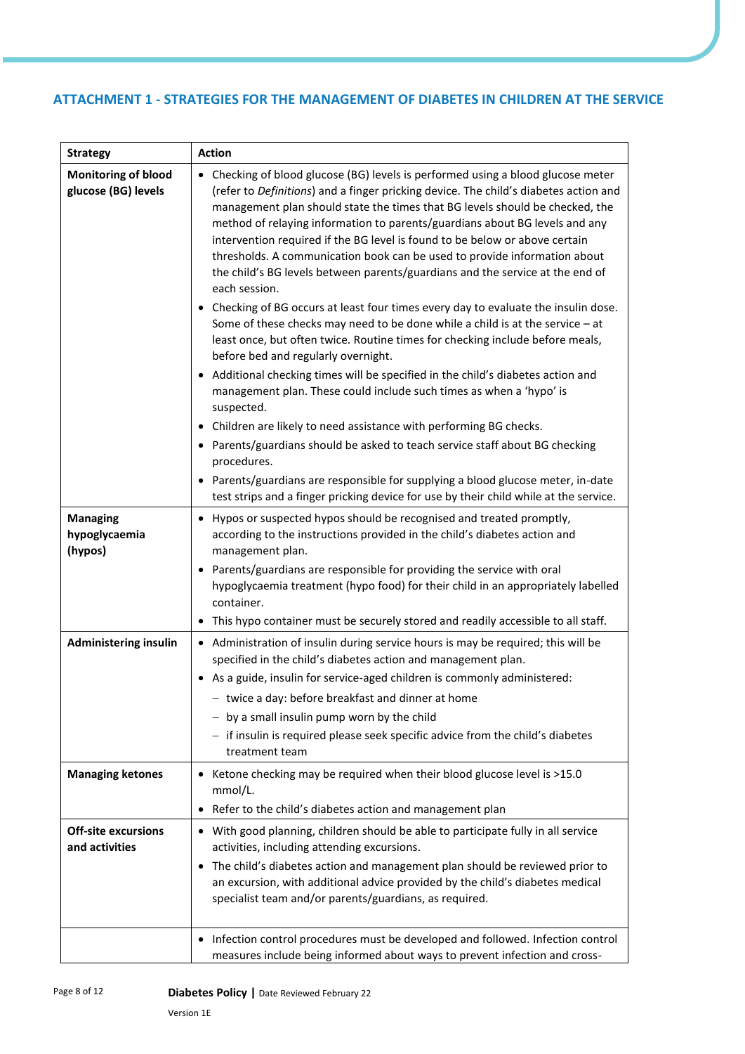## **ATTACHMENT 1 - STRATEGIES FOR THE MANAGEMENT OF DIABETES IN CHILDREN AT THE SERVICE**

| <b>Strategy</b>                                   | <b>Action</b>                                                                                                                                                                                                                                                                                                                                                                                                                                                                                                                                                                                                                                                                                |
|---------------------------------------------------|----------------------------------------------------------------------------------------------------------------------------------------------------------------------------------------------------------------------------------------------------------------------------------------------------------------------------------------------------------------------------------------------------------------------------------------------------------------------------------------------------------------------------------------------------------------------------------------------------------------------------------------------------------------------------------------------|
| <b>Monitoring of blood</b><br>glucose (BG) levels | • Checking of blood glucose (BG) levels is performed using a blood glucose meter<br>(refer to Definitions) and a finger pricking device. The child's diabetes action and<br>management plan should state the times that BG levels should be checked, the<br>method of relaying information to parents/guardians about BG levels and any<br>intervention required if the BG level is found to be below or above certain<br>thresholds. A communication book can be used to provide information about<br>the child's BG levels between parents/guardians and the service at the end of<br>each session.<br>• Checking of BG occurs at least four times every day to evaluate the insulin dose. |
|                                                   | Some of these checks may need to be done while a child is at the service $-$ at<br>least once, but often twice. Routine times for checking include before meals,<br>before bed and regularly overnight.<br>Additional checking times will be specified in the child's diabetes action and<br>$\bullet$<br>management plan. These could include such times as when a 'hypo' is<br>suspected.                                                                                                                                                                                                                                                                                                  |
|                                                   | Children are likely to need assistance with performing BG checks.<br>$\bullet$<br>Parents/guardians should be asked to teach service staff about BG checking<br>procedures.<br>Parents/guardians are responsible for supplying a blood glucose meter, in-date<br>$\bullet$                                                                                                                                                                                                                                                                                                                                                                                                                   |
|                                                   | test strips and a finger pricking device for use by their child while at the service.                                                                                                                                                                                                                                                                                                                                                                                                                                                                                                                                                                                                        |
| <b>Managing</b><br>hypoglycaemia<br>(hypos)       | Hypos or suspected hypos should be recognised and treated promptly,<br>$\bullet$<br>according to the instructions provided in the child's diabetes action and<br>management plan.                                                                                                                                                                                                                                                                                                                                                                                                                                                                                                            |
|                                                   | Parents/guardians are responsible for providing the service with oral<br>$\bullet$<br>hypoglycaemia treatment (hypo food) for their child in an appropriately labelled<br>container.                                                                                                                                                                                                                                                                                                                                                                                                                                                                                                         |
|                                                   | This hypo container must be securely stored and readily accessible to all staff.<br>$\bullet$                                                                                                                                                                                                                                                                                                                                                                                                                                                                                                                                                                                                |
| <b>Administering insulin</b>                      | • Administration of insulin during service hours is may be required; this will be<br>specified in the child's diabetes action and management plan.<br>• As a guide, insulin for service-aged children is commonly administered:<br>- twice a day: before breakfast and dinner at home<br>$-$ by a small insulin pump worn by the child<br>- if insulin is required please seek specific advice from the child's diabetes<br>treatment team                                                                                                                                                                                                                                                   |
| <b>Managing ketones</b>                           | Ketone checking may be required when their blood glucose level is >15.0<br>٠<br>mmol/L.<br>Refer to the child's diabetes action and management plan<br>٠                                                                                                                                                                                                                                                                                                                                                                                                                                                                                                                                     |
| <b>Off-site excursions</b><br>and activities      | With good planning, children should be able to participate fully in all service<br>$\bullet$<br>activities, including attending excursions.<br>The child's diabetes action and management plan should be reviewed prior to<br>an excursion, with additional advice provided by the child's diabetes medical<br>specialist team and/or parents/guardians, as required.                                                                                                                                                                                                                                                                                                                        |
|                                                   | Infection control procedures must be developed and followed. Infection control<br>$\bullet$<br>measures include being informed about ways to prevent infection and cross-                                                                                                                                                                                                                                                                                                                                                                                                                                                                                                                    |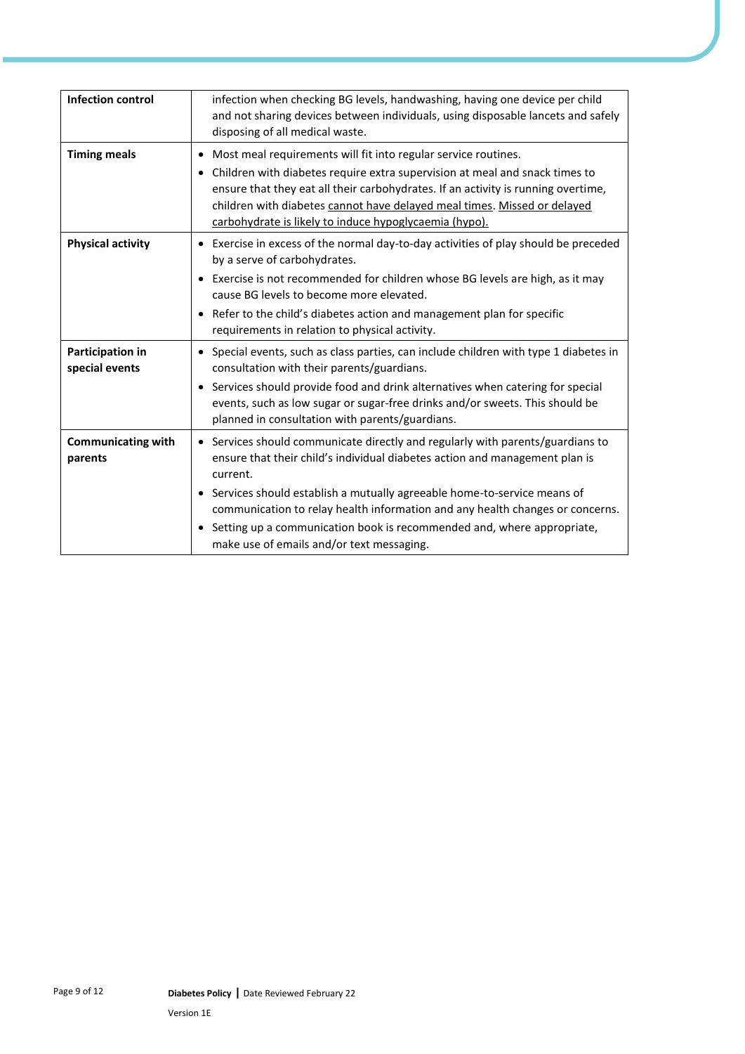| <b>Infection control</b>             | infection when checking BG levels, handwashing, having one device per child<br>and not sharing devices between individuals, using disposable lancets and safely<br>disposing of all medical waste.                                                                                                                                                                                                                                                                        |
|--------------------------------------|---------------------------------------------------------------------------------------------------------------------------------------------------------------------------------------------------------------------------------------------------------------------------------------------------------------------------------------------------------------------------------------------------------------------------------------------------------------------------|
| <b>Timing meals</b>                  | Most meal requirements will fit into regular service routines.<br>$\bullet$<br>Children with diabetes require extra supervision at meal and snack times to<br>ensure that they eat all their carbohydrates. If an activity is running overtime,<br>children with diabetes cannot have delayed meal times. Missed or delayed<br>carbohydrate is likely to induce hypoglycaemia (hypo).                                                                                     |
| <b>Physical activity</b>             | Exercise in excess of the normal day-to-day activities of play should be preceded<br>by a serve of carbohydrates.<br>Exercise is not recommended for children whose BG levels are high, as it may<br>cause BG levels to become more elevated.<br>Refer to the child's diabetes action and management plan for specific<br>requirements in relation to physical activity.                                                                                                  |
| Participation in<br>special events   | Special events, such as class parties, can include children with type 1 diabetes in<br>$\bullet$<br>consultation with their parents/guardians.<br>• Services should provide food and drink alternatives when catering for special<br>events, such as low sugar or sugar-free drinks and/or sweets. This should be<br>planned in consultation with parents/guardians.                                                                                                      |
| <b>Communicating with</b><br>parents | • Services should communicate directly and regularly with parents/guardians to<br>ensure that their child's individual diabetes action and management plan is<br>current.<br>Services should establish a mutually agreeable home-to-service means of<br>$\bullet$<br>communication to relay health information and any health changes or concerns.<br>Setting up a communication book is recommended and, where appropriate,<br>make use of emails and/or text messaging. |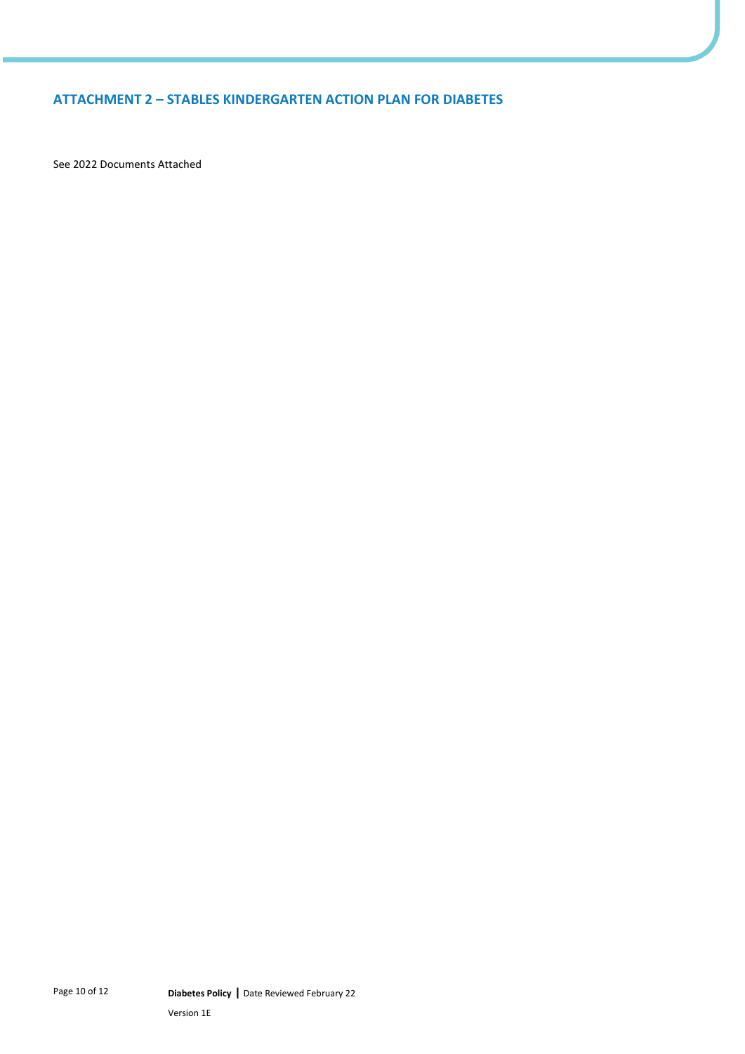## **ATTACHMENT 2 – STABLES KINDERGARTEN ACTION PLAN FOR DIABETES**

See 2022 Documents Attached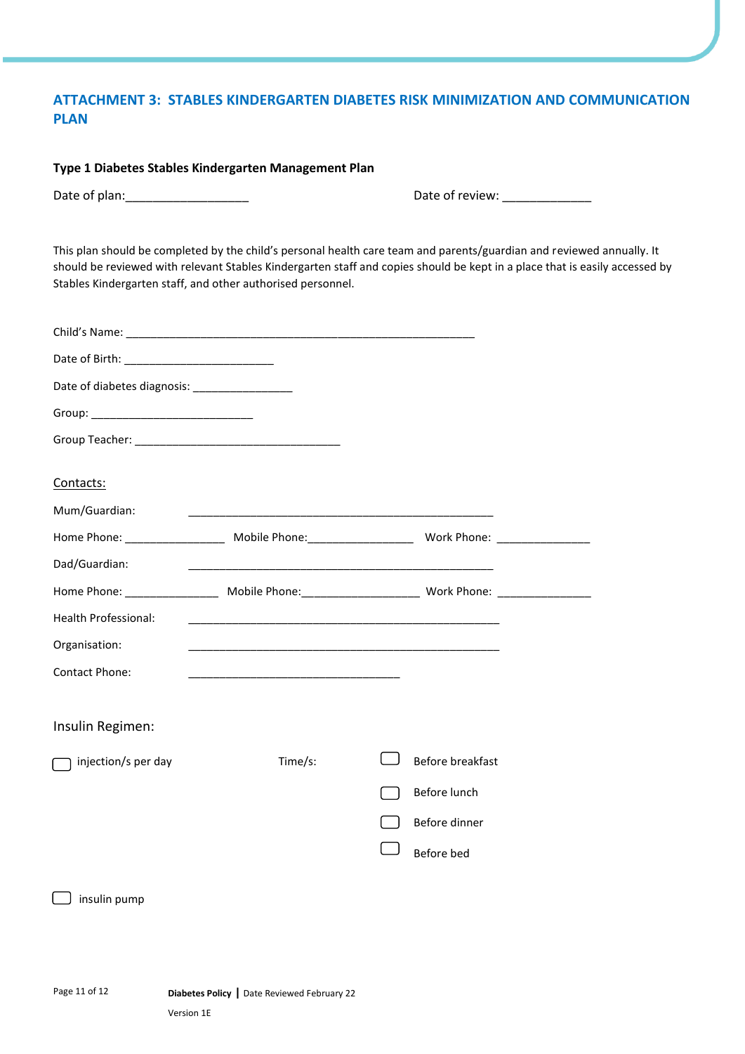## **ATTACHMENT 3: STABLES KINDERGARTEN DIABETES RISK MINIMIZATION AND COMMUNICATION PLAN**

#### **Type 1 Diabetes Stables Kindergarten Management Plan**

Date of plan:\_\_\_\_\_\_\_\_\_\_\_\_\_\_\_\_\_\_ Date of review: \_\_\_\_\_\_\_\_\_\_\_\_\_

This plan should be completed by the child's personal health care team and parents/guardian and reviewed annually. It should be reviewed with relevant Stables Kindergarten staff and copies should be kept in a place that is easily accessed by Stables Kindergarten staff, and other authorised personnel.

| Date of diabetes diagnosis: _________________ |         |                  |  |
|-----------------------------------------------|---------|------------------|--|
|                                               |         |                  |  |
|                                               |         |                  |  |
| Contacts:                                     |         |                  |  |
| Mum/Guardian:                                 |         |                  |  |
|                                               |         |                  |  |
| Dad/Guardian:                                 |         |                  |  |
|                                               |         |                  |  |
| Health Professional:                          |         |                  |  |
| Organisation:                                 |         |                  |  |
| <b>Contact Phone:</b>                         |         |                  |  |
| Insulin Regimen:                              |         |                  |  |
| injection/s per day                           | Time/s: | Before breakfast |  |
|                                               |         | Before lunch     |  |
|                                               |         | Before dinner    |  |
|                                               |         | Before bed       |  |
|                                               |         |                  |  |
| insulin pump                                  |         |                  |  |
|                                               |         |                  |  |
|                                               |         |                  |  |
|                                               |         |                  |  |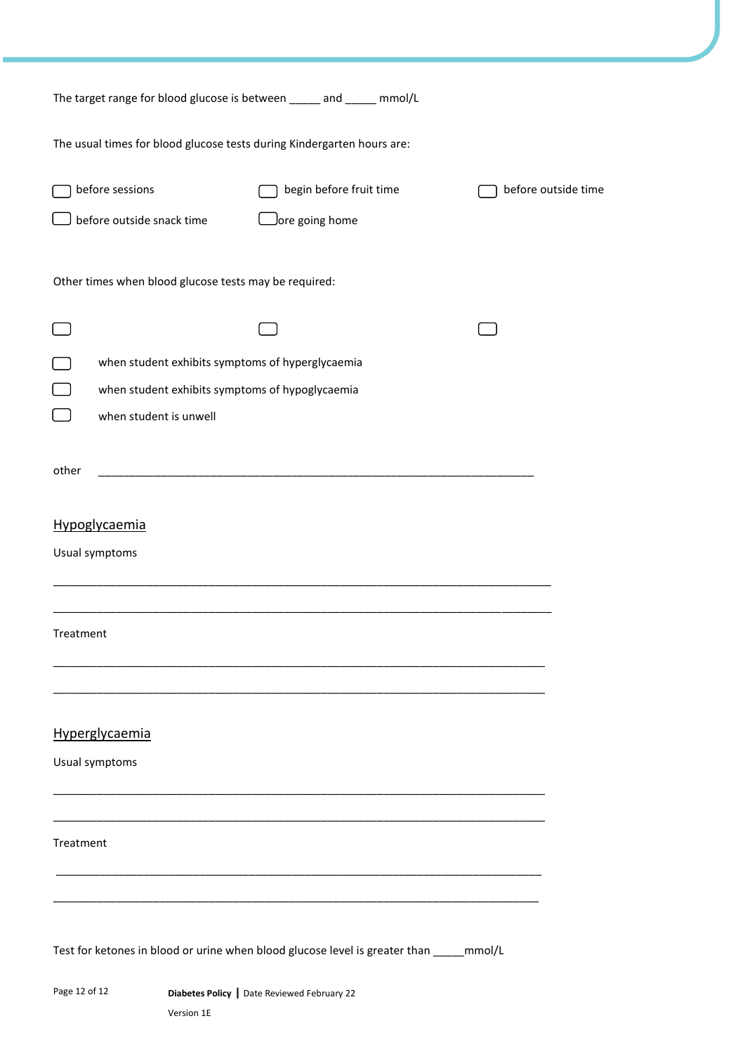| The target range for blood glucose is between _____ and _____ mmol/L                                                          |                                                                                          |                     |
|-------------------------------------------------------------------------------------------------------------------------------|------------------------------------------------------------------------------------------|---------------------|
| The usual times for blood glucose tests during Kindergarten hours are:                                                        |                                                                                          |                     |
| before sessions<br>before outside snack time                                                                                  | begin before fruit time<br>$\Box$ ore going home                                         | before outside time |
| Other times when blood glucose tests may be required:                                                                         |                                                                                          |                     |
|                                                                                                                               |                                                                                          |                     |
| when student exhibits symptoms of hyperglycaemia<br>when student exhibits symptoms of hypoglycaemia<br>when student is unwell |                                                                                          |                     |
| other                                                                                                                         |                                                                                          |                     |
| Hypoglycaemia<br>Usual symptoms                                                                                               |                                                                                          |                     |
| Treatment                                                                                                                     |                                                                                          |                     |
| Hyperglycaemia<br>Usual symptoms                                                                                              |                                                                                          |                     |
| Treatment                                                                                                                     |                                                                                          |                     |
|                                                                                                                               | Test for ketones in blood or urine when blood glucose level is greater than _____ mmol/L |                     |
| Page 12 of 12                                                                                                                 | Diabetes Policy   Date Reviewed February 22                                              |                     |